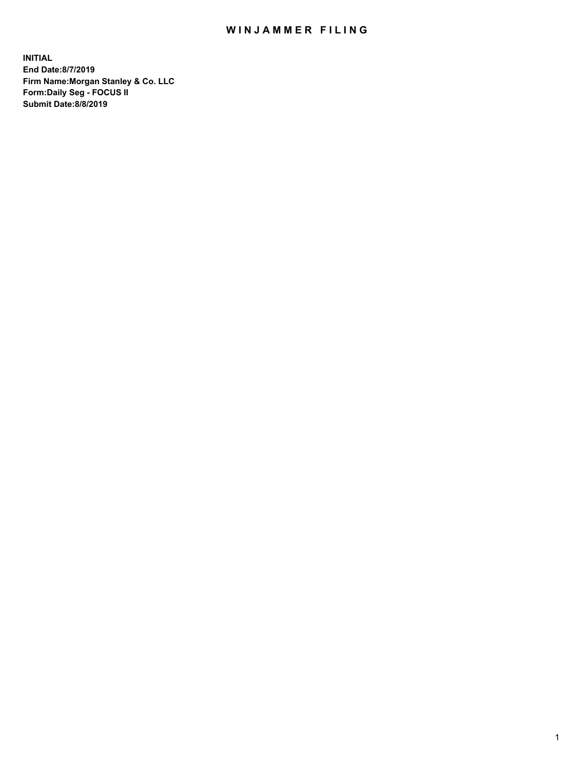## WIN JAMMER FILING

**INITIAL End Date:8/7/2019 Firm Name:Morgan Stanley & Co. LLC Form:Daily Seg - FOCUS II Submit Date:8/8/2019**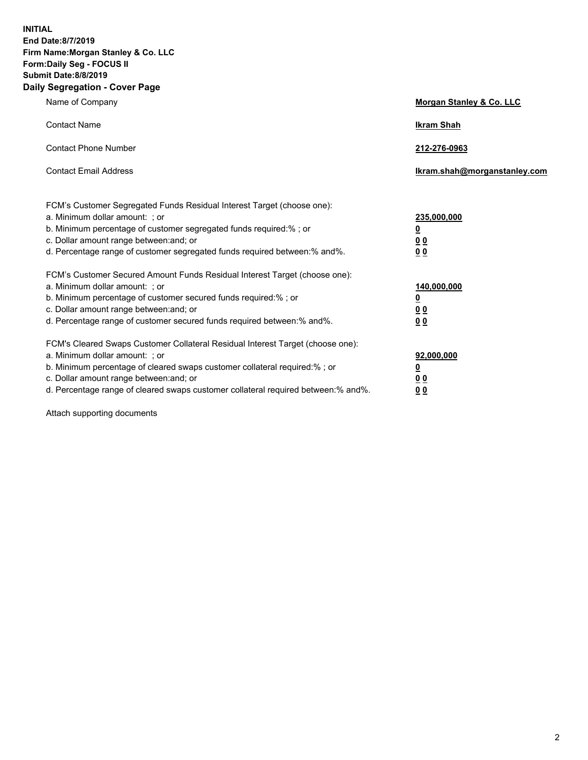**INITIAL End Date:8/7/2019 Firm Name:Morgan Stanley & Co. LLC Form:Daily Seg - FOCUS II Submit Date:8/8/2019 Daily Segregation - Cover Page**

| Name of Company                                                                                                                                                                                                                                                                                                                | Morgan Stanley & Co. LLC                                    |
|--------------------------------------------------------------------------------------------------------------------------------------------------------------------------------------------------------------------------------------------------------------------------------------------------------------------------------|-------------------------------------------------------------|
| <b>Contact Name</b>                                                                                                                                                                                                                                                                                                            | <b>Ikram Shah</b>                                           |
| <b>Contact Phone Number</b>                                                                                                                                                                                                                                                                                                    | 212-276-0963                                                |
| <b>Contact Email Address</b>                                                                                                                                                                                                                                                                                                   | Ikram.shah@morganstanley.com                                |
| FCM's Customer Segregated Funds Residual Interest Target (choose one):<br>a. Minimum dollar amount: ; or<br>b. Minimum percentage of customer segregated funds required:% ; or<br>c. Dollar amount range between: and; or<br>d. Percentage range of customer segregated funds required between:% and%.                         | 235,000,000<br><u>0</u><br>0 <sub>0</sub><br>00             |
| FCM's Customer Secured Amount Funds Residual Interest Target (choose one):<br>a. Minimum dollar amount: ; or<br>b. Minimum percentage of customer secured funds required:% ; or<br>c. Dollar amount range between: and; or<br>d. Percentage range of customer secured funds required between:% and%.                           | 140,000,000<br><u>0</u><br>0 <sub>0</sub><br>0 <sub>0</sub> |
| FCM's Cleared Swaps Customer Collateral Residual Interest Target (choose one):<br>a. Minimum dollar amount: ; or<br>b. Minimum percentage of cleared swaps customer collateral required:% ; or<br>c. Dollar amount range between: and; or<br>d. Percentage range of cleared swaps customer collateral required between:% and%. | 92,000,000<br><u>0</u><br>0 Q<br>0 <sub>0</sub>             |

Attach supporting documents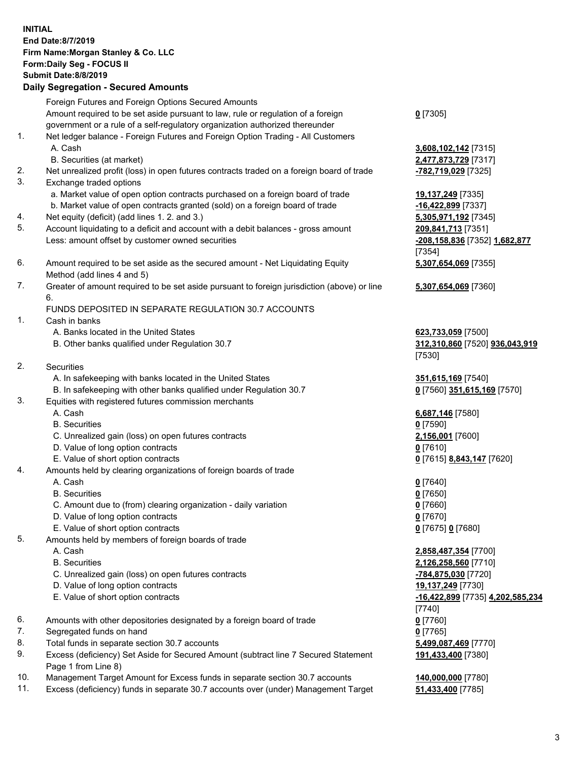| <b>INITIAL</b> | End Date: 8/7/2019<br>Firm Name: Morgan Stanley & Co. LLC<br>Form: Daily Seg - FOCUS II<br><b>Submit Date: 8/8/2019</b><br><b>Daily Segregation - Secured Amounts</b> |                                                               |
|----------------|-----------------------------------------------------------------------------------------------------------------------------------------------------------------------|---------------------------------------------------------------|
|                | Foreign Futures and Foreign Options Secured Amounts<br>Amount required to be set aside pursuant to law, rule or regulation of a foreign                               | $0$ [7305]                                                    |
| 1.             | government or a rule of a self-regulatory organization authorized thereunder<br>Net ledger balance - Foreign Futures and Foreign Option Trading - All Customers       |                                                               |
|                | A. Cash                                                                                                                                                               | 3,608,102,142 [7315]                                          |
|                | B. Securities (at market)                                                                                                                                             | 2,477,873,729 [7317]                                          |
| 2.<br>3.       | Net unrealized profit (loss) in open futures contracts traded on a foreign board of trade<br>Exchange traded options                                                  | -782,719,029 [7325]                                           |
|                | a. Market value of open option contracts purchased on a foreign board of trade                                                                                        | 19,137,249 [7335]                                             |
|                | b. Market value of open contracts granted (sold) on a foreign board of trade                                                                                          | -16,422,899 [7337]                                            |
| 4.             | Net equity (deficit) (add lines 1.2. and 3.)                                                                                                                          | 5,305,971,192 [7345]                                          |
| 5.             | Account liquidating to a deficit and account with a debit balances - gross amount<br>Less: amount offset by customer owned securities                                 | 209,841,713 [7351]<br>-208,158,836 [7352] 1,682,877<br>[7354] |
| 6.             | Amount required to be set aside as the secured amount - Net Liquidating Equity<br>Method (add lines 4 and 5)                                                          | 5,307,654,069 [7355]                                          |
| 7.             | Greater of amount required to be set aside pursuant to foreign jurisdiction (above) or line<br>6.                                                                     | 5,307,654,069 [7360]                                          |
|                | FUNDS DEPOSITED IN SEPARATE REGULATION 30.7 ACCOUNTS                                                                                                                  |                                                               |
| 1.             | Cash in banks<br>A. Banks located in the United States                                                                                                                | 623,733,059 [7500]                                            |
|                | B. Other banks qualified under Regulation 30.7                                                                                                                        | 312,310,860 [7520] 936,043,919<br>[7530]                      |
| 2.             | Securities                                                                                                                                                            |                                                               |
|                | A. In safekeeping with banks located in the United States                                                                                                             | 351,615,169 [7540]                                            |
|                | B. In safekeeping with other banks qualified under Regulation 30.7                                                                                                    | 0 [7560] 351,615,169 [7570]                                   |
| 3.             | Equities with registered futures commission merchants<br>A. Cash                                                                                                      | 6,687,146 [7580]                                              |
|                | <b>B.</b> Securities                                                                                                                                                  | $0$ [7590]                                                    |
|                | C. Unrealized gain (loss) on open futures contracts                                                                                                                   | 2,156,001 [7600]                                              |
|                | D. Value of long option contracts                                                                                                                                     | $0$ [7610]                                                    |
|                | E. Value of short option contracts                                                                                                                                    | 0 [7615] 8,843,147 [7620]                                     |
| 4.             | Amounts held by clearing organizations of foreign boards of trade                                                                                                     |                                                               |
|                | A. Cash<br><b>B.</b> Securities                                                                                                                                       | $0$ [7640]<br>$0$ [7650]                                      |
|                | C. Amount due to (from) clearing organization - daily variation                                                                                                       | $0$ [7660]                                                    |
|                | D. Value of long option contracts                                                                                                                                     | $0$ [7670]                                                    |
|                | E. Value of short option contracts                                                                                                                                    | 0 [7675] 0 [7680]                                             |
| 5.             | Amounts held by members of foreign boards of trade                                                                                                                    |                                                               |
|                | A. Cash                                                                                                                                                               | 2,858,487,354 [7700]                                          |
|                | <b>B.</b> Securities<br>C. Unrealized gain (loss) on open futures contracts                                                                                           | 2,126,258,560 [7710]<br>-784,875,030 [7720]                   |
|                | D. Value of long option contracts                                                                                                                                     | 19,137,249 [7730]                                             |
|                | E. Value of short option contracts                                                                                                                                    | <u>-16,422,899</u> [7735] 4,202,585,234                       |
|                |                                                                                                                                                                       | $[7740]$                                                      |
| 6.             | Amounts with other depositories designated by a foreign board of trade                                                                                                | $0$ [7760]                                                    |
| 7.<br>8.       | Segregated funds on hand<br>Total funds in separate section 30.7 accounts                                                                                             | $0$ [7765]<br>5,499,087,469 [7770]                            |
| 9.             | Excess (deficiency) Set Aside for Secured Amount (subtract line 7 Secured Statement                                                                                   | 191,433,400 [7380]                                            |
| 10.            | Page 1 from Line 8)<br>Management Target Amount for Excess funds in separate section 30.7 accounts                                                                    | 140,000,000 [7780]                                            |

Management Target Amount for Excess funds in separate section 30.7 accounts **140,000,000** [7780]<br>Excess (deficiency) funds in separate 30.7 accounts over (under) Management Target **51,433,400** [7785] 11. Excess (deficiency) funds in separate 30.7 accounts over (under) Management Target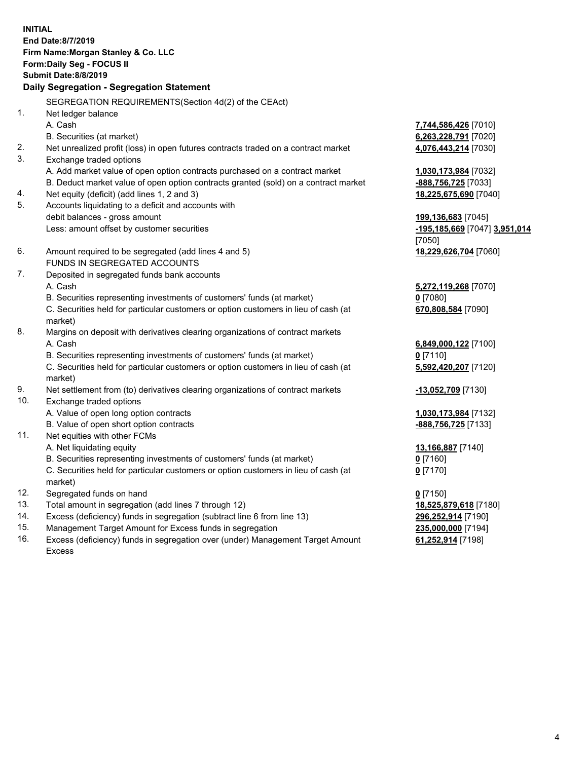**INITIAL End Date:8/7/2019 Firm Name:Morgan Stanley & Co. LLC Form:Daily Seg - FOCUS II Submit Date:8/8/2019 Daily Segregation - Segregation Statement** SEGREGATION REQUIREMENTS(Section 4d(2) of the CEAct) 1. Net ledger balance A. Cash **7,744,586,426** [7010] B. Securities (at market) **6,263,228,791** [7020] 2. Net unrealized profit (loss) in open futures contracts traded on a contract market **4,076,443,214** [7030] 3. Exchange traded options A. Add market value of open option contracts purchased on a contract market **1,030,173,984** [7032] B. Deduct market value of open option contracts granted (sold) on a contract market **-888,756,725** [7033] 4. Net equity (deficit) (add lines 1, 2 and 3) **18,225,675,690** [7040] 5. Accounts liquidating to a deficit and accounts with debit balances - gross amount **199,136,683** [7045] Less: amount offset by customer securities **-195,185,669** [7047] **3,951,014** [7050] 6. Amount required to be segregated (add lines 4 and 5) **18,229,626,704** [7060] FUNDS IN SEGREGATED ACCOUNTS 7. Deposited in segregated funds bank accounts A. Cash **5,272,119,268** [7070] B. Securities representing investments of customers' funds (at market) **0** [7080] C. Securities held for particular customers or option customers in lieu of cash (at market) **670,808,584** [7090] 8. Margins on deposit with derivatives clearing organizations of contract markets A. Cash **6,849,000,122** [7100] B. Securities representing investments of customers' funds (at market) **0** [7110] C. Securities held for particular customers or option customers in lieu of cash (at market) **5,592,420,207** [7120] 9. Net settlement from (to) derivatives clearing organizations of contract markets **-13,052,709** [7130] 10. Exchange traded options A. Value of open long option contracts **1,030,173,984** [7132] B. Value of open short option contracts **-888,756,725** [7133] 11. Net equities with other FCMs A. Net liquidating equity **13,166,887** [7140] B. Securities representing investments of customers' funds (at market) **0** [7160] C. Securities held for particular customers or option customers in lieu of cash (at market) **0** [7170] 12. Segregated funds on hand **0** [7150] 13. Total amount in segregation (add lines 7 through 12) **18,525,879,618** [7180] 14. Excess (deficiency) funds in segregation (subtract line 6 from line 13) **296,252,914** [7190]

- 15. Management Target Amount for Excess funds in segregation **235,000,000** [7194]
- 16. Excess (deficiency) funds in segregation over (under) Management Target Amount Excess

**61,252,914** [7198]